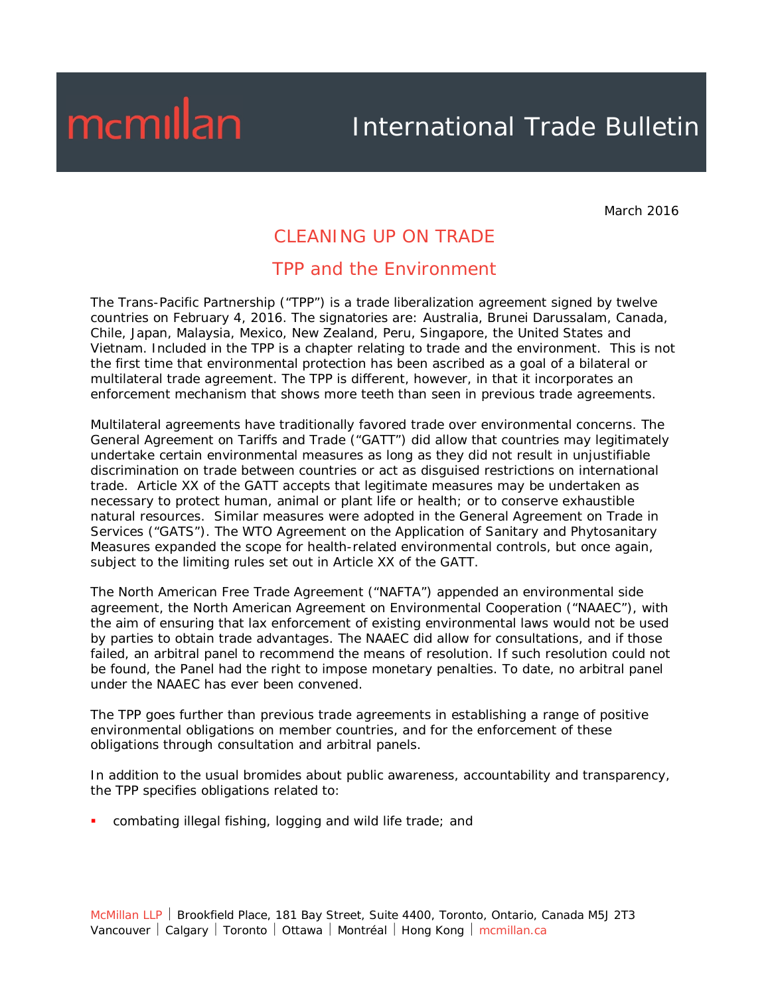### International Trade Bulletin

March 2016

### CLEANING UP ON TRADE

#### TPP and the Environment

The Trans-Pacific Partnership ("TPP") is a trade liberalization agreement signed by twelve countries on February 4, 2016. The signatories are: Australia, Brunei Darussalam, Canada, Chile, Japan, Malaysia, Mexico, New Zealand, Peru, Singapore, the United States and Vietnam. Included in the TPP is a chapter relating to trade and the environment. This is not the first time that environmental protection has been ascribed as a goal of a bilateral or multilateral trade agreement. The TPP is different, however, in that it incorporates an enforcement mechanism that shows more teeth than seen in previous trade agreements.

Multilateral agreements have traditionally favored trade over environmental concerns. The General Agreement on Tariffs and Trade ("GATT") did allow that countries may legitimately undertake certain environmental measures as long as they did not result in unjustifiable discrimination on trade between countries or act as disguised restrictions on international trade. Article XX of the GATT accepts that legitimate measures may be undertaken as necessary to protect human, animal or plant life or health; or to conserve exhaustible natural resources. Similar measures were adopted in the General Agreement on Trade in Services ("GATS"). The WTO Agreement on the Application of Sanitary and Phytosanitary Measures expanded the scope for health-related environmental controls, but once again, subject to the limiting rules set out in Article XX of the GATT.

The North American Free Trade Agreement ("*NAFTA*") appended an environmental side agreement, the North American Agreement on Environmental Cooperation ("*NAAEC*"), with the aim of ensuring that lax enforcement of existing environmental laws would not be used by parties to obtain trade advantages. The *NAAEC* did allow for consultations, and if those failed, an arbitral panel to recommend the means of resolution. If such resolution could not be found, the Panel had the right to impose monetary penalties. To date, no arbitral panel under the *NAAEC* has ever been convened.

The TPP goes further than previous trade agreements in establishing a range of positive environmental obligations on member countries, and for the enforcement of these obligations through consultation and arbitral panels.

In addition to the usual bromides about public awareness, accountability and transparency, the TPP specifies obligations related to:

combating illegal fishing, logging and wild life trade; and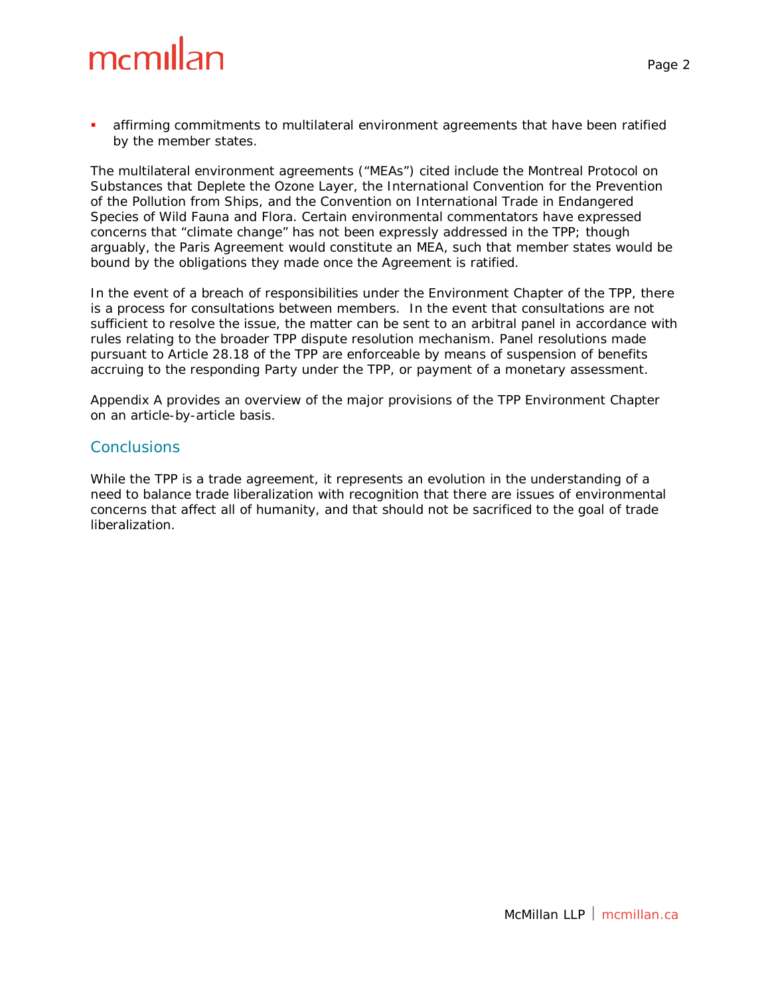affirming commitments to multilateral environment agreements that have been ratified by the member states.

The multilateral environment agreements ("MEAs") cited include the Montreal Protocol on Substances that Deplete the Ozone Layer, the International Convention for the Prevention of the Pollution from Ships, and the Convention on International Trade in Endangered Species of Wild Fauna and Flora. Certain environmental commentators have expressed concerns that "climate change" has not been expressly addressed in the TPP; though arguably, the Paris Agreement would constitute an MEA, such that member states would be bound by the obligations they made once the Agreement is ratified.

In the event of a breach of responsibilities under the Environment Chapter of the TPP, there is a process for consultations between members. In the event that consultations are not sufficient to resolve the issue, the matter can be sent to an arbitral panel in accordance with rules relating to the broader TPP dispute resolution mechanism. Panel resolutions made pursuant to Article 28.18 of the TPP are enforceable by means of suspension of benefits accruing to the responding Party under the TPP, or payment of a monetary assessment.

Appendix A provides an overview of the major provisions of the TPP Environment Chapter on an article-by-article basis.

#### **Conclusions**

While the TPP is a trade agreement, it represents an evolution in the understanding of a need to balance trade liberalization with recognition that there are issues of environmental concerns that affect all of humanity, and that should not be sacrificed to the goal of trade liberalization.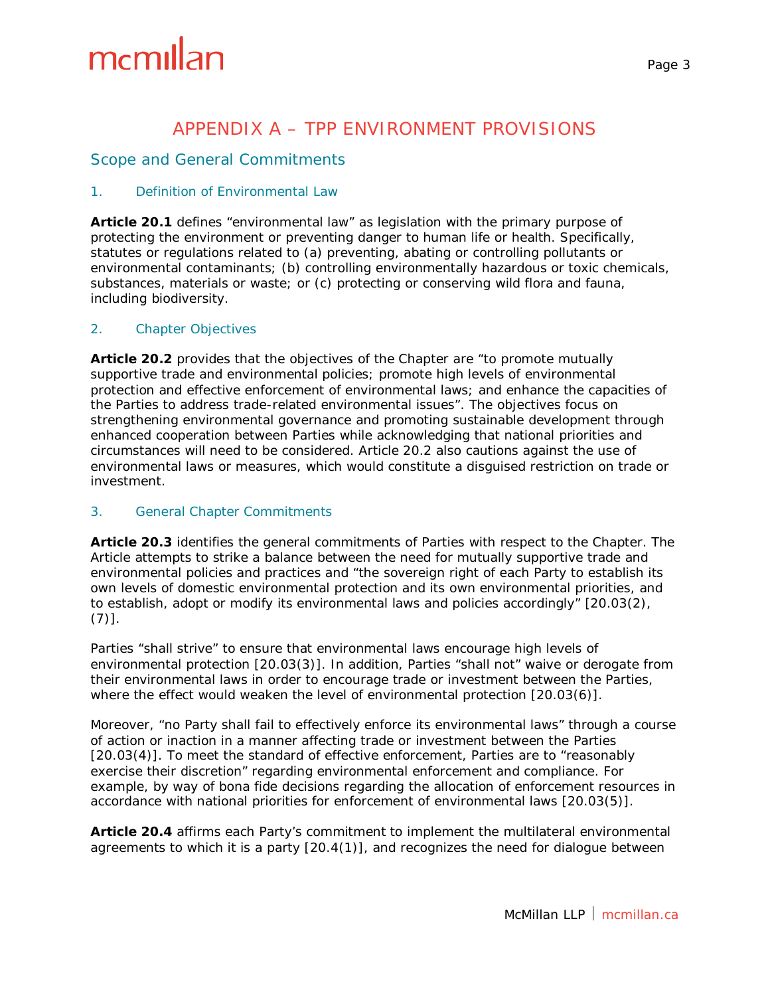### APPENDIX A – TPP ENVIRONMENT PROVISIONS

#### Scope and General Commitments

#### *1. Definition of Environmental Law*

**Article 20.1** defines "environmental law" as legislation with the primary purpose of protecting the environment or preventing danger to human life or health. Specifically, statutes or regulations related to (a) preventing, abating or controlling pollutants or environmental contaminants; (b) controlling environmentally hazardous or toxic chemicals, substances, materials or waste; or (c) protecting or conserving wild flora and fauna, including biodiversity.

#### *2. Chapter Objectives*

**Article 20.2** provides that the objectives of the Chapter are "to promote mutually supportive trade and environmental policies; promote high levels of environmental protection and effective enforcement of environmental laws; and enhance the capacities of the Parties to address trade-related environmental issues". The objectives focus on strengthening environmental governance and promoting sustainable development through enhanced cooperation between Parties while acknowledging that national priorities and circumstances will need to be considered. Article 20.2 also cautions against the use of environmental laws or measures, which would constitute a disguised restriction on trade or investment.

#### *3. General Chapter Commitments*

**Article 20.3** identifies the general commitments of Parties with respect to the Chapter. The Article attempts to strike a balance between the need for mutually supportive trade and environmental policies and practices and "the sovereign right of each Party to establish its own levels of domestic environmental protection and its own environmental priorities, and to establish, adopt or modify its environmental laws and policies accordingly" [20.03(2),  $(7)$ ].

Parties "shall strive" to ensure that environmental laws encourage high levels of environmental protection [20.03(3)]. In addition, Parties "shall not" waive or derogate from their environmental laws in order to encourage trade or investment between the Parties, where the effect would weaken the level of environmental protection [20.03(6)].

Moreover, "no Party shall fail to effectively enforce its environmental laws" through a course of action or inaction in a manner affecting trade or investment between the Parties [20.03(4)]. To meet the standard of effective enforcement, Parties are to "reasonably exercise their discretion" regarding environmental enforcement and compliance. For example, by way of *bona fide* decisions regarding the allocation of enforcement resources in accordance with national priorities for enforcement of environmental laws [20.03(5)].

**Article 20.4** affirms each Party's commitment to implement the multilateral environmental agreements to which it is a party [20.4(1)], and recognizes the need for dialogue between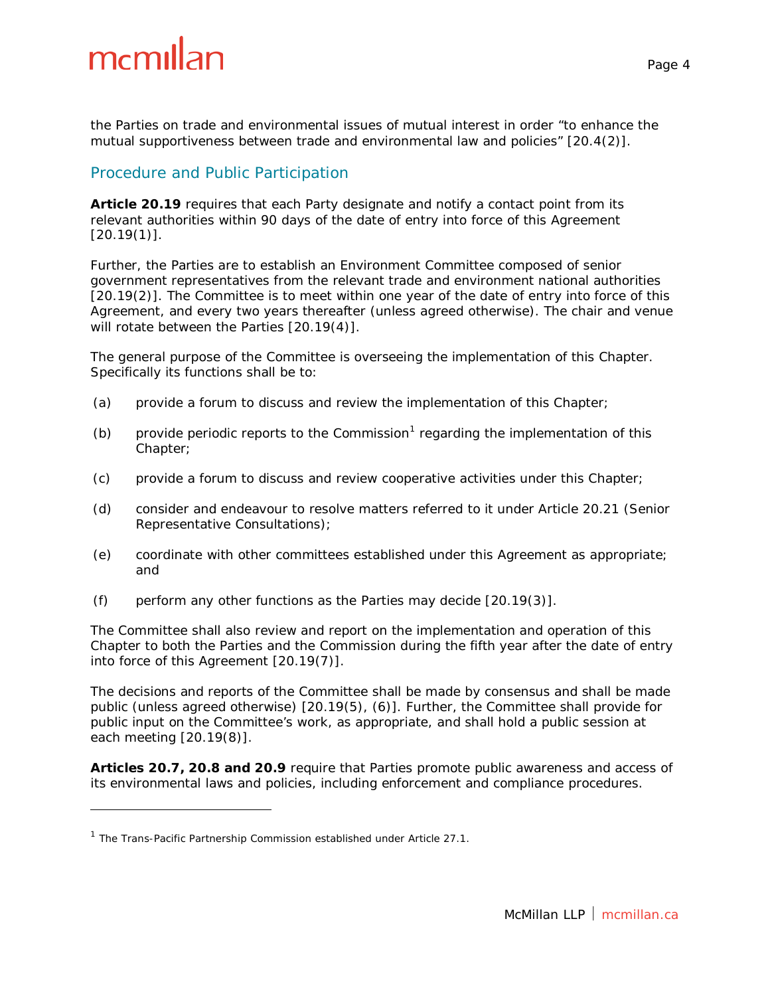the Parties on trade and environmental issues of mutual interest in order "to enhance the mutual supportiveness between trade and environmental law and policies" [20.4(2)].

#### Procedure and Public Participation

**Article 20.19** requires that each Party designate and notify a contact point from its relevant authorities within 90 days of the date of entry into force of this Agreement  $[20.19(1)].$ 

Further, the Parties are to establish an Environment Committee composed of senior government representatives from the relevant trade and environment national authorities [20.19(2)]. The Committee is to meet within one year of the date of entry into force of this Agreement, and every two years thereafter (unless agreed otherwise). The chair and venue will rotate between the Parties [20.19(4)].

The general purpose of the Committee is overseeing the implementation of this Chapter. Specifically its functions shall be to:

- (a) provide a forum to discuss and review the implementation of this Chapter;
- (b) provide periodic reports to the Commission<sup>[1](#page-3-0)</sup> regarding the implementation of this Chapter;
- (c) provide a forum to discuss and review cooperative activities under this Chapter;
- (d) consider and endeavour to resolve matters referred to it under Article 20.21 (Senior Representative Consultations);
- (e) coordinate with other committees established under this Agreement as appropriate; and
- (f) perform any other functions as the Parties may decide [20.19(3)].

The Committee shall also review and report on the implementation and operation of this Chapter to both the Parties and the Commission during the fifth year after the date of entry into force of this Agreement [20.19(7)].

The decisions and reports of the Committee shall be made by consensus and shall be made public (unless agreed otherwise) [20.19(5), (6)]. Further, the Committee shall provide for public input on the Committee's work, as appropriate, and shall hold a public session at each meeting [20.19(8)].

**Articles 20.7, 20.8 and 20.9** require that Parties promote public awareness and access of its environmental laws and policies, including enforcement and compliance procedures.

i,

<span id="page-3-0"></span><sup>&</sup>lt;sup>1</sup> The Trans-Pacific Partnership Commission established under Article 27.1.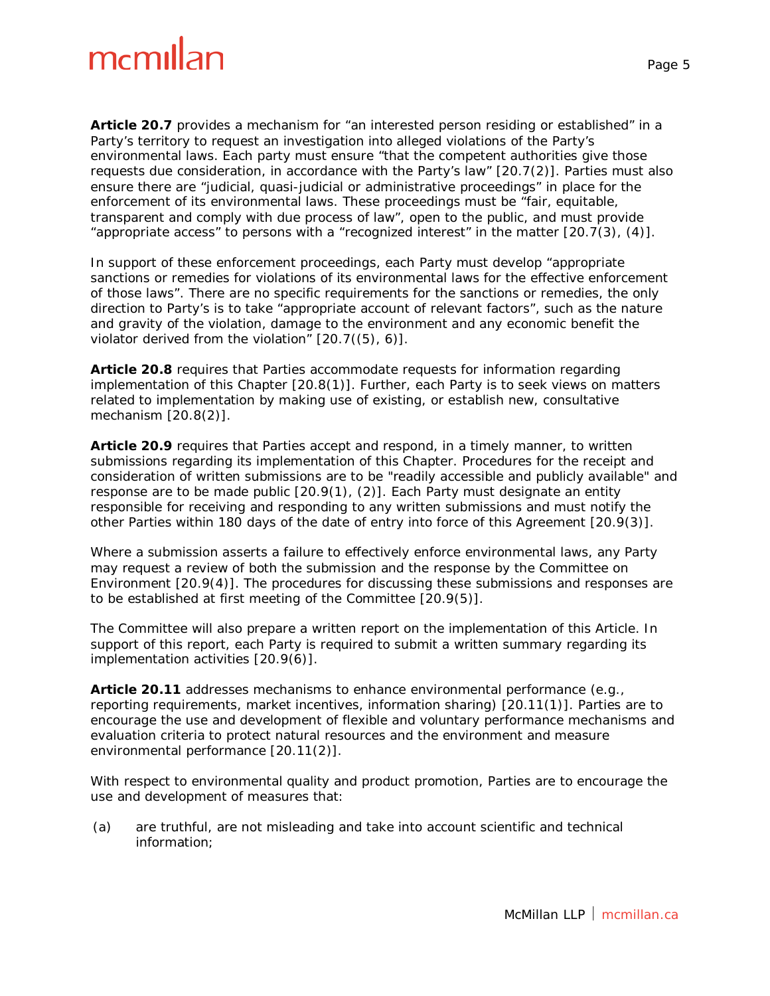**Article 20.7** provides a mechanism for "an interested person residing or established" in a Party's territory to request an investigation into alleged violations of the Party's environmental laws. Each party must ensure "that the competent authorities give those requests due consideration, in accordance with the Party's law" [20.7(2)]. Parties must also ensure there are "judicial, quasi-judicial or administrative proceedings" in place for the enforcement of its environmental laws. These proceedings must be "fair, equitable, transparent and comply with due process of law", open to the public, and must provide "appropriate access" to persons with a "recognized interest" in the matter [20.7(3), (4)].

In support of these enforcement proceedings, each Party must develop "appropriate sanctions or remedies for violations of its environmental laws for the effective enforcement of those laws". There are no specific requirements for the sanctions or remedies, the only direction to Party's is to take "appropriate account of relevant factors", such as the nature and gravity of the violation, damage to the environment and any economic benefit the violator derived from the violation" [20.7((5), 6)].

**Article 20.8** requires that Parties accommodate requests for information regarding implementation of this Chapter [20.8(1)]. Further, each Party is to seek views on matters related to implementation by making use of existing, or establish new, consultative mechanism [20.8(2)].

**Article 20.9** requires that Parties accept and respond, in a timely manner, to written submissions regarding its implementation of this Chapter. Procedures for the receipt and consideration of written submissions are to be "readily accessible and publicly available" and response are to be made public [20.9(1), (2)]. Each Party must designate an entity responsible for receiving and responding to any written submissions and must notify the other Parties within 180 days of the date of entry into force of this Agreement [20.9(3)].

Where a submission asserts a failure to effectively enforce environmental laws, any Party may request a review of both the submission and the response by the Committee on Environment [20.9(4)]. The procedures for discussing these submissions and responses are to be established at first meeting of the Committee [20.9(5)].

The Committee will also prepare a written report on the implementation of this Article. In support of this report, each Party is required to submit a written summary regarding its implementation activities [20.9(6)].

**Article 20.11** addresses mechanisms to enhance environmental performance (e.g., reporting requirements, market incentives, information sharing) [20.11(1)]. Parties are to encourage the use and development of flexible and voluntary performance mechanisms and evaluation criteria to protect natural resources and the environment and measure environmental performance [20.11(2)].

With respect to environmental quality and product promotion, Parties are to encourage the use and development of measures that:

(a) are truthful, are not misleading and take into account scientific and technical information;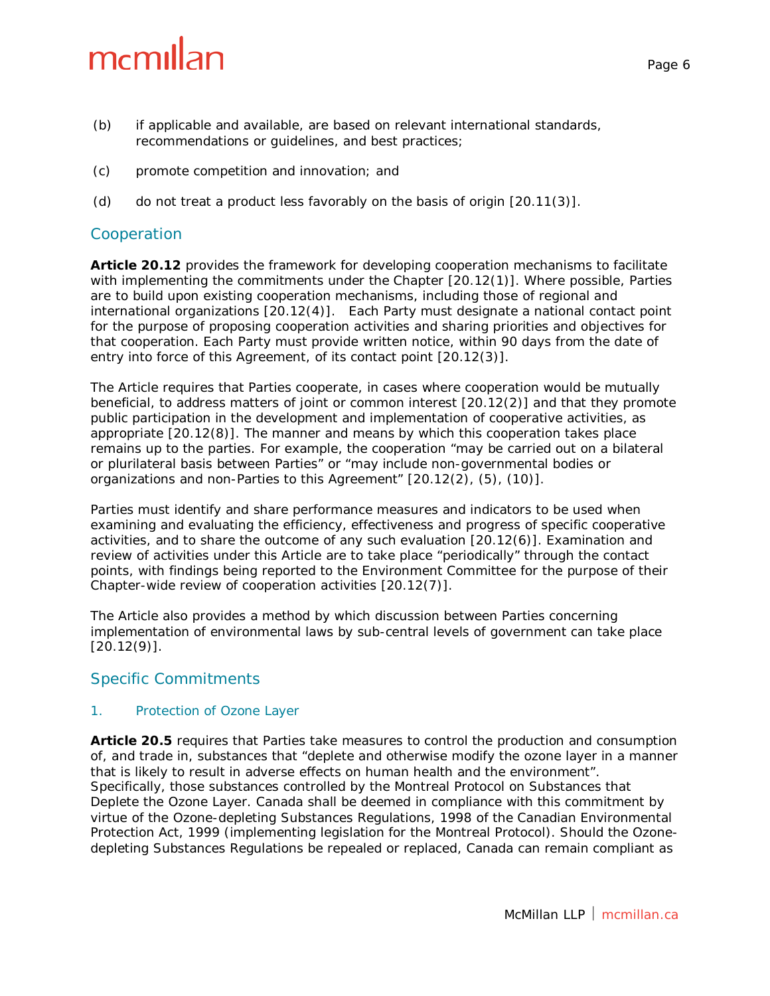- (b) if applicable and available, are based on relevant international standards, recommendations or guidelines, and best practices;
- (c) promote competition and innovation; and
- (d) do not treat a product less favorably on the basis of origin [20.11(3)].

#### Cooperation

**Article 20.12** provides the framework for developing cooperation mechanisms to facilitate with implementing the commitments under the Chapter [20.12(1)]. Where possible, Parties are to build upon existing cooperation mechanisms, including those of regional and international organizations [20.12(4)]. Each Party must designate a national contact point for the purpose of proposing cooperation activities and sharing priorities and objectives for that cooperation. Each Party must provide written notice, within 90 days from the date of entry into force of this Agreement, of its contact point [20.12(3)].

The Article requires that Parties cooperate, in cases where cooperation would be mutually beneficial, to address matters of joint or common interest [20.12(2)] and that they promote public participation in the development and implementation of cooperative activities, as appropriate [20.12(8)]. The manner and means by which this cooperation takes place remains up to the parties. For example, the cooperation "may be carried out on a bilateral or plurilateral basis between Parties" or "may include non-governmental bodies or organizations and non-Parties to this Agreement" [20.12(2), (5), (10)].

Parties must identify and share performance measures and indicators to be used when examining and evaluating the efficiency, effectiveness and progress of specific cooperative activities, and to share the outcome of any such evaluation [20.12(6)]. Examination and review of activities under this Article are to take place "periodically" through the contact points, with findings being reported to the Environment Committee for the purpose of their Chapter-wide review of cooperation activities [20.12(7)].

The Article also provides a method by which discussion between Parties concerning implementation of environmental laws by sub-central levels of government can take place  $[20.12(9)]$ .

#### Specific Commitments

#### *1. Protection of Ozone Layer*

**Article 20.5** requires that Parties take measures to control the production and consumption of, and trade in, substances that "deplete and otherwise modify the ozone layer in a manner that is likely to result in adverse effects on human health and the environment". Specifically, those substances controlled by the *Montreal Protocol on Substances that Deplete the Ozone Layer*. Canada shall be deemed in compliance with this commitment by virtue of the *Ozone-depleting Substances Regulations, 1998* of the *Canadian Environmental Protection Act, 1999* (implementing legislation for the Montreal Protocol). Should the *Ozonedepleting Substances Regulations* be repealed or replaced, Canada can remain compliant as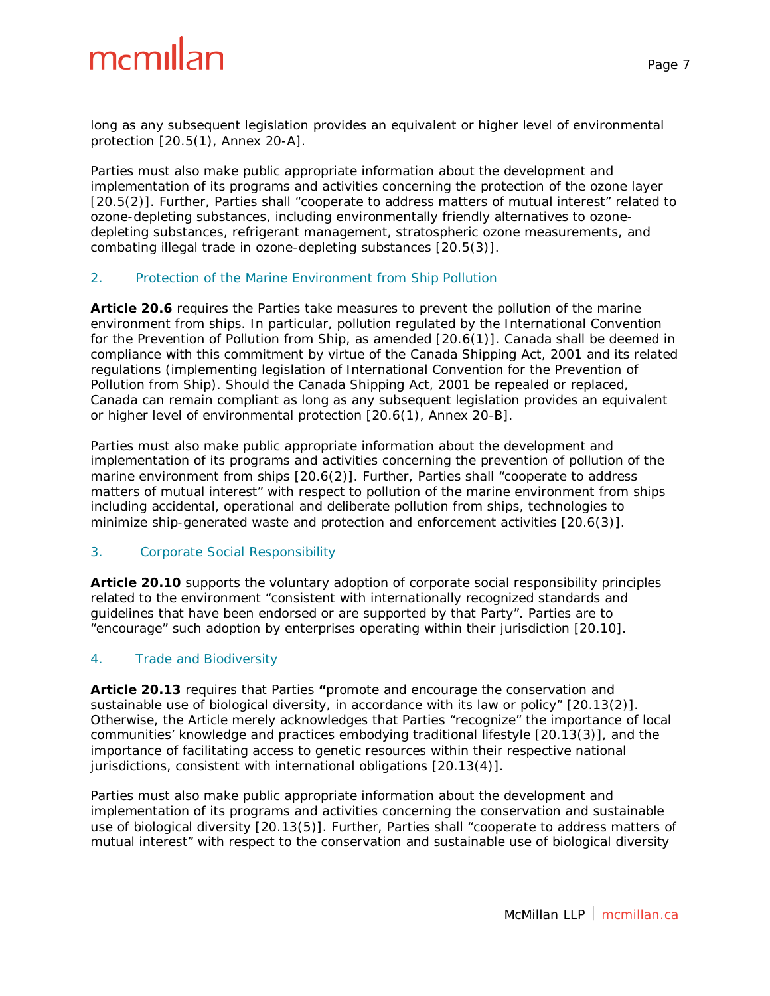long as any subsequent legislation provides an equivalent or higher level of environmental protection [20.5(1), Annex 20-A].

Parties must also make public appropriate information about the development and implementation of its programs and activities concerning the protection of the ozone layer [20.5(2)]. Further, Parties shall "cooperate to address matters of mutual interest" related to ozone-depleting substances, including environmentally friendly alternatives to ozonedepleting substances, refrigerant management, stratospheric ozone measurements, and combating illegal trade in ozone-depleting substances [20.5(3)].

#### *2. Protection of the Marine Environment from Ship Pollution*

**Article 20.6** requires the Parties take measures to prevent the pollution of the marine environment from ships. In particular, pollution regulated by the *International Convention for the Prevention of Pollution from Ship*, as amended [20.6(1)]. Canada shall be deemed in compliance with this commitment by virtue of the *Canada Shipping Act, 2001* and its related regulations (implementing legislation of *International Convention for the Prevention of Pollution from Ship*). Should the *Canada Shipping Act, 2001* be repealed or replaced, Canada can remain compliant as long as any subsequent legislation provides an equivalent or higher level of environmental protection [20.6(1), Annex 20-B].

Parties must also make public appropriate information about the development and implementation of its programs and activities concerning the prevention of pollution of the marine environment from ships [20.6(2)]. Further, Parties shall "cooperate to address matters of mutual interest" with respect to pollution of the marine environment from ships including accidental, operational and deliberate pollution from ships, technologies to minimize ship-generated waste and protection and enforcement activities [20.6(3)].

#### *3. Corporate Social Responsibility*

**Article 20.10** supports the voluntary adoption of corporate social responsibility principles related to the environment "consistent with internationally recognized standards and guidelines that have been endorsed or are supported by that Party". Parties are to "encourage" such adoption by enterprises operating within their jurisdiction [20.10].

#### *4. Trade and Biodiversity*

**Article 20.13** requires that Parties **"**promote and encourage the conservation and sustainable use of biological diversity, in accordance with its law or policy" [20.13(2)]. Otherwise, the Article merely acknowledges that Parties "recognize" the importance of local communities' knowledge and practices embodying traditional lifestyle [20.13(3)], and the importance of facilitating access to genetic resources within their respective national jurisdictions, consistent with international obligations [20.13(4)].

Parties must also make public appropriate information about the development and implementation of its programs and activities concerning the conservation and sustainable use of biological diversity [20.13(5)]. Further, Parties shall "cooperate to address matters of mutual interest" with respect to the conservation and sustainable use of biological diversity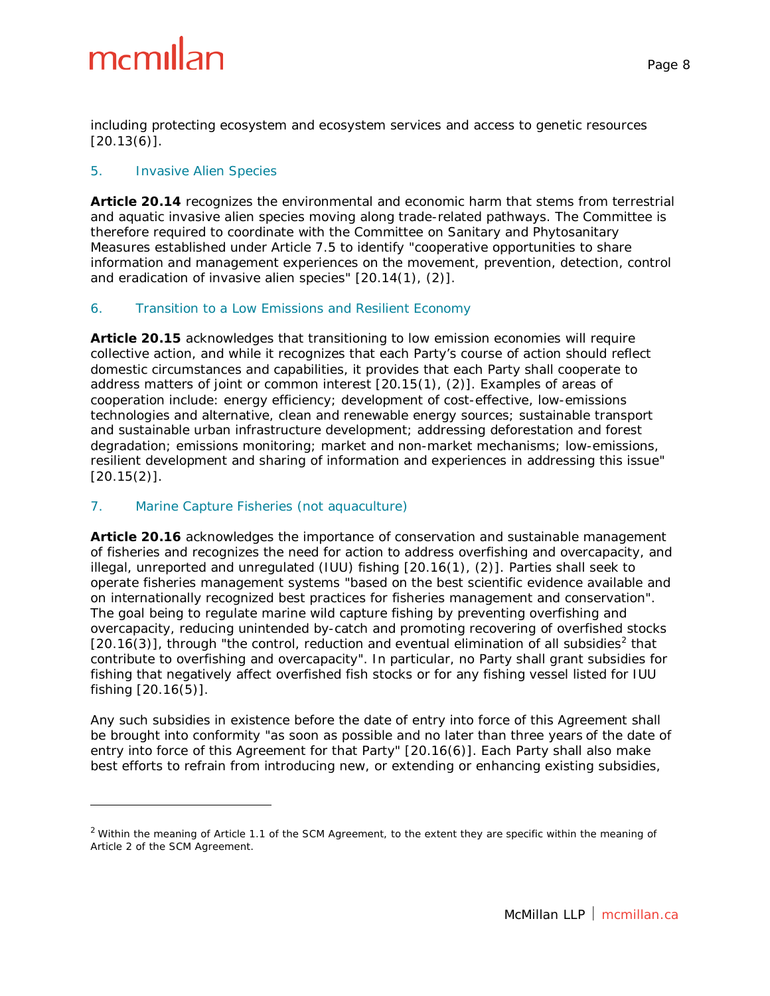i,

including protecting ecosystem and ecosystem services and access to genetic resources  $[20.13(6)]$ .

#### *5. Invasive Alien Species*

**Article 20.14** recognizes the environmental and economic harm that stems from terrestrial and aquatic invasive alien species moving along trade-related pathways. The Committee is therefore required to coordinate with the Committee on Sanitary and Phytosanitary Measures established under Article 7.5 to identify "cooperative opportunities to share information and management experiences on the movement, prevention, detection, control and eradication of invasive alien species" [20.14(1), (2)].

#### *6. Transition to a Low Emissions and Resilient Economy*

**Article 20.15** acknowledges that transitioning to low emission economies will require collective action, and while it recognizes that each Party's course of action should reflect domestic circumstances and capabilities, it provides that each Party shall cooperate to address matters of joint or common interest [20.15(1), (2)]. Examples of areas of cooperation include: energy efficiency; development of cost-effective, low-emissions technologies and alternative, clean and renewable energy sources; sustainable transport and sustainable urban infrastructure development; addressing deforestation and forest degradation; emissions monitoring; market and non-market mechanisms; low-emissions, resilient development and sharing of information and experiences in addressing this issue" [20.15(2)].

#### *7. Marine Capture Fisheries (not aquaculture)*

**Article 20.16** acknowledges the importance of conservation and sustainable management of fisheries and recognizes the need for action to address overfishing and overcapacity, and illegal, unreported and unregulated (IUU) fishing [20.16(1), (2)]. Parties shall seek to operate fisheries management systems "based on the best scientific evidence available and on internationally recognized best practices for fisheries management and conservation". The goal being to regulate marine wild capture fishing by preventing overfishing and overcapacity, reducing unintended by-catch and promoting recovering of overfished stocks  $[20.16(3)]$  $[20.16(3)]$  $[20.16(3)]$ , through "the control, reduction and eventual elimination of all subsidies<sup>2</sup> that contribute to overfishing and overcapacity". In particular, no Party shall grant subsidies for fishing that negatively affect overfished fish stocks or for any fishing vessel listed for IUU fishing [20.16(5)].

Any such subsidies in existence before the date of entry into force of this Agreement shall be brought into conformity "as soon as possible and no later than three years of the date of entry into force of this Agreement for that Party" [20.16(6)]. Each Party shall also make best efforts to refrain from introducing new, or extending or enhancing existing subsidies,

<span id="page-7-0"></span> $2$  Within the meaning of Article 1.1 of the SCM Agreement, to the extent they are specific within the meaning of Article 2 of the SCM Agreement.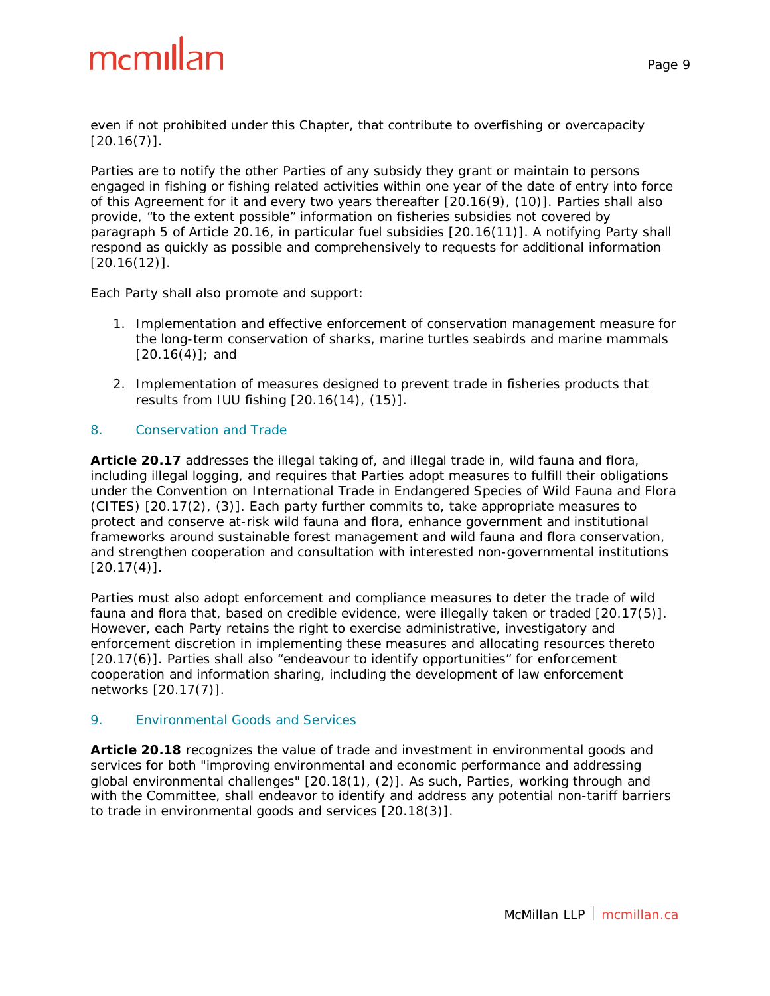even if not prohibited under this Chapter, that contribute to overfishing or overcapacity  $[20.16(7)]$ .

Parties are to notify the other Parties of any subsidy they grant or maintain to persons engaged in fishing or fishing related activities within one year of the date of entry into force of this Agreement for it and every two years thereafter [20.16(9), (10)]. Parties shall also provide, "to the extent possible" information on fisheries subsidies not covered by paragraph 5 of Article 20.16, in particular fuel subsidies [20.16(11)]. A notifying Party shall respond as quickly as possible and comprehensively to requests for additional information [20.16(12)].

Each Party shall also promote and support:

- 1. Implementation and effective enforcement of conservation management measure for the long-term conservation of sharks, marine turtles seabirds and marine mammals  $[20.16(4)]$ ; and
- 2. Implementation of measures designed to prevent trade in fisheries products that results from IUU fishing [20.16(14), (15)].

#### *8. Conservation and Trade*

**Article 20.17** addresses the illegal taking of, and illegal trade in, wild fauna and flora, including illegal logging, and requires that Parties adopt measures to fulfill their obligations under the *Convention on International Trade in Endangered Species of Wild Fauna and Flora*  (CITES) [20.17(2), (3)]. Each party further commits to, take appropriate measures to protect and conserve at-risk wild fauna and flora, enhance government and institutional frameworks around sustainable forest management and wild fauna and flora conservation, and strengthen cooperation and consultation with interested non-governmental institutions  $[20.17(4)].$ 

Parties must also adopt enforcement and compliance measures to deter the trade of wild fauna and flora that, based on credible evidence, were illegally taken or traded [20.17(5)]. However, each Party retains the right to exercise administrative, investigatory and enforcement discretion in implementing these measures and allocating resources thereto [20.17(6)]. Parties shall also "endeavour to identify opportunities" for enforcement cooperation and information sharing, including the development of law enforcement networks [20.17(7)].

#### *9. Environmental Goods and Services*

**Article 20.18** recognizes the value of trade and investment in environmental goods and services for both "improving environmental and economic performance and addressing global environmental challenges" [20.18(1), (2)]. As such, Parties, working through and with the Committee, shall endeavor to identify and address any potential non-tariff barriers to trade in environmental goods and services [20.18(3)].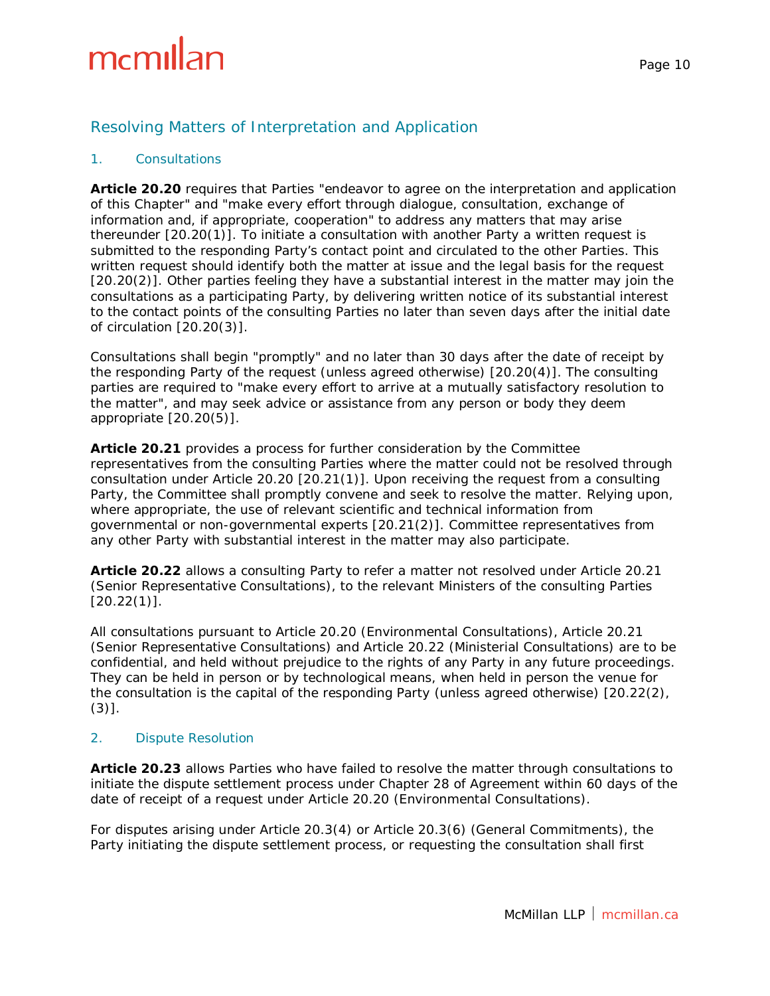#### Resolving Matters of Interpretation and Application

#### *1. Consultations*

**Article 20.20** requires that Parties "endeavor to agree on the interpretation and application of this Chapter" and "make every effort through dialogue, consultation, exchange of information and, if appropriate, cooperation" to address any matters that may arise thereunder [20.20(1)]. To initiate a consultation with another Party a written request is submitted to the responding Party's contact point and circulated to the other Parties. This written request should identify both the matter at issue and the legal basis for the request [20.20(2)]. Other parties feeling they have a substantial interest in the matter may join the consultations as a participating Party, by delivering written notice of its substantial interest to the contact points of the consulting Parties no later than seven days after the initial date of circulation [20.20(3)].

Consultations shall begin "promptly" and no later than 30 days after the date of receipt by the responding Party of the request (unless agreed otherwise) [20.20(4)]. The consulting parties are required to "make every effort to arrive at a mutually satisfactory resolution to the matter", and may seek advice or assistance from any person or body they deem appropriate [20.20(5)].

**Article 20.21** provides a process for further consideration by the Committee representatives from the consulting Parties where the matter could not be resolved through consultation under Article 20.20 [20.21(1)]. Upon receiving the request from a consulting Party, the Committee shall promptly convene and seek to resolve the matter. Relying upon, where appropriate, the use of relevant scientific and technical information from governmental or non-governmental experts [20.21(2)]. Committee representatives from any other Party with substantial interest in the matter may also participate.

**Article 20.22** allows a consulting Party to refer a matter not resolved under Article 20.21 (Senior Representative Consultations), to the relevant Ministers of the consulting Parties  $[20.22(1)].$ 

All consultations pursuant to Article 20.20 (Environmental Consultations), Article 20.21 (Senior Representative Consultations) and Article 20.22 (Ministerial Consultations) are to be confidential, and held without prejudice to the rights of any Party in any future proceedings. They can be held in person or by technological means, when held in person the venue for the consultation is the capital of the responding Party (unless agreed otherwise) [20.22(2),  $(3)$ ].

#### *2. Dispute Resolution*

**Article 20.23** allows Parties who have failed to resolve the matter through consultations to initiate the dispute settlement process under Chapter 28 of Agreement within 60 days of the date of receipt of a request under Article 20.20 (Environmental Consultations).

For disputes arising under Article 20.3(4) or Article 20.3(6) (General Commitments), the Party initiating the dispute settlement process, or requesting the consultation shall first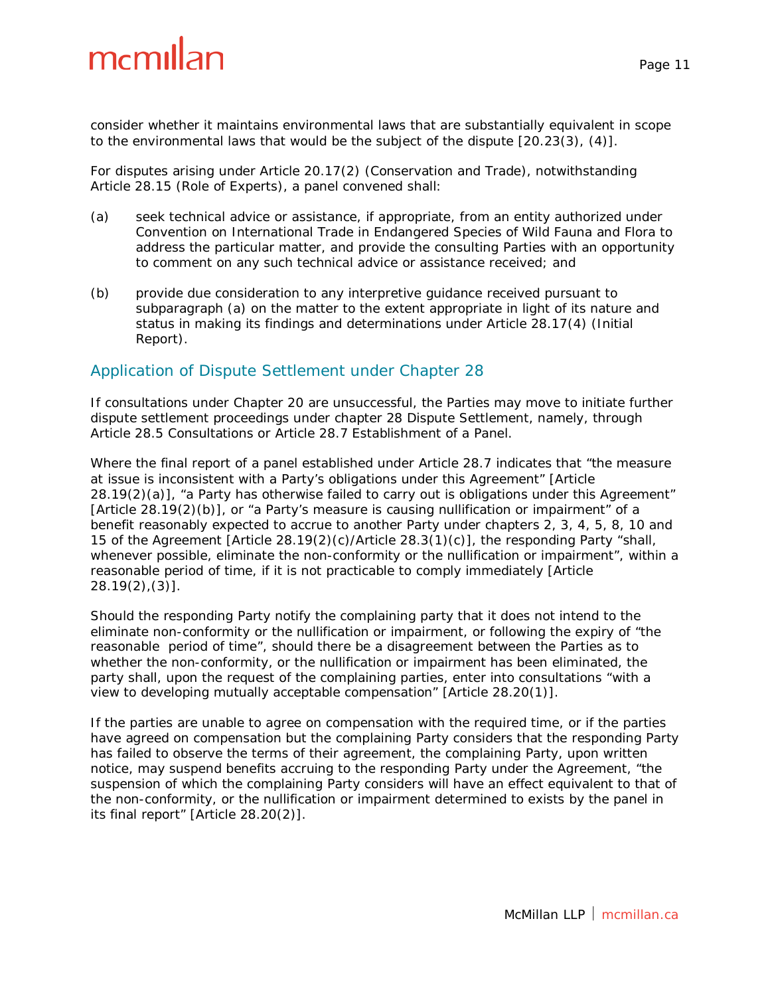consider whether it maintains environmental laws that are substantially equivalent in scope to the environmental laws that would be the subject of the dispute [20.23(3), (4)].

For disputes arising under Article 20.17(2) (Conservation and Trade), notwithstanding Article 28.15 (Role of Experts), a panel convened shall:

- (a) seek technical advice or assistance, if appropriate, from an entity authorized under *Convention on International Trade in Endangered Species of Wild Fauna and Flora* to address the particular matter, and provide the consulting Parties with an opportunity to comment on any such technical advice or assistance received; and
- (b) provide due consideration to any interpretive guidance received pursuant to subparagraph (a) on the matter to the extent appropriate in light of its nature and status in making its findings and determinations under Article 28.17(4) (Initial Report).

#### Application of Dispute Settlement under Chapter 28

If consultations under Chapter 20 are unsuccessful, the Parties may move to initiate further dispute settlement proceedings under chapter 28 *Dispute Settlement*, namely, through Article 28.5 Consultations or Article 28.7 Establishment of a Panel.

Where the final report of a panel established under Article 28.7 indicates that "the measure at issue is inconsistent with a Party's obligations under this Agreement" [Article 28.19(2)(a)], "a Party has otherwise failed to carry out is obligations under this Agreement" [Article 28.19(2)(b)], or "a Party's measure is causing nullification or impairment" of a benefit reasonably expected to accrue to another Party under chapters 2, 3, 4, 5, 8, 10 and 15 of the Agreement [Article 28.19(2)(c)/Article 28.3(1)(c)], the responding Party "shall, whenever possible, eliminate the non-conformity or the nullification or impairment", within a reasonable period of time, if it is not practicable to comply immediately [Article 28.19(2),(3)].

Should the responding Party notify the complaining party that it does not intend to the eliminate non-conformity or the nullification or impairment, or following the expiry of "the reasonable period of time", should there be a disagreement between the Parties as to whether the non-conformity, or the nullification or impairment has been eliminated, the party shall, upon the request of the complaining parties, enter into consultations "with a view to developing mutually acceptable compensation" [Article 28.20(1)].

If the parties are unable to agree on compensation with the required time, or if the parties have agreed on compensation but the complaining Party considers that the responding Party has failed to observe the terms of their agreement, the complaining Party, upon written notice, may suspend benefits accruing to the responding Party under the Agreement, "the suspension of which the complaining Party considers will have an effect equivalent to that of the non-conformity, or the nullification or impairment determined to exists by the panel in its final report" [Article 28.20(2)].